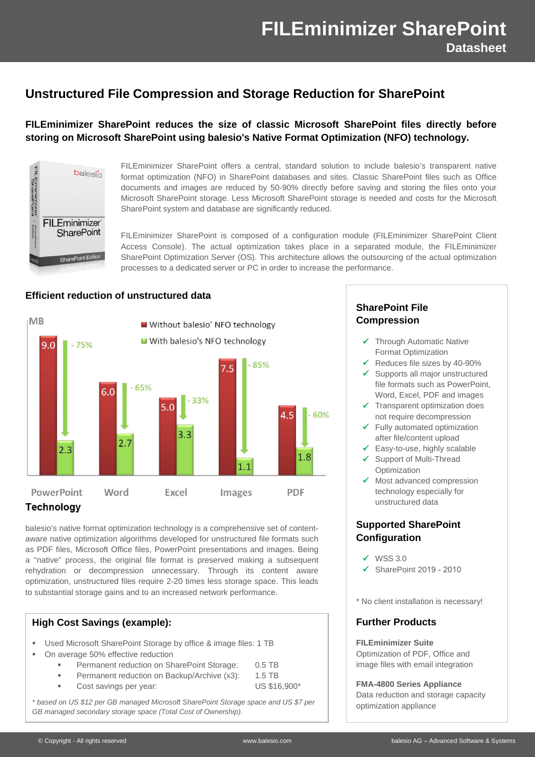# **Unstructured File Compression and Storage Reduction for SharePoint**

# **FILEminimizer SharePoint reduces the size of classic Microsoft SharePoint files directly before storing on Microsoft SharePoint using balesio's Native Format Optimization (NFO) technology.**



FILEminimizer SharePoint offers a central, standard solution to include balesio's transparent native format optimization (NFO) in SharePoint databases and sites. Classic SharePoint files such as Office documents and images are reduced by 50-90% directly before saving and storing the files onto your Microsoft SharePoint storage. Less Microsoft SharePoint storage is needed and costs for the Microsoft SharePoint system and database are significantly reduced.

FILEminimizer SharePoint is composed of a configuration module (FILEminimizer SharePoint Client Access Console). The actual optimization takes place in a separated module, the FILEminimizer SharePoint Optimization Server (OS). This architecture allows the outsourcing of the actual optimization processes to a dedicated server or PC in order to increase the performance.

#### **Efficient reduction of unstructured data**



# **Technology**

balesio's native format optimization technology is a comprehensive set of contentaware native optimization algorithms developed for unstructured file formats such as PDF files, Microsoft Office files, PowerPoint presentations and images. Being a "native" process, the original file format is preserved making a subsequent rehydration or decompression unnecessary. Through its content aware optimization, unstructured files require 2-20 times less storage space. This leads to substantial storage gains and to an increased network performance.

## **High Cost Savings (example):**

- Used Microsoft SharePoint Storage by office & image files: 1 TB
- On average 50% effective reduction
	- Permanent reduction on SharePoint Storage: 0.5 TB
	- Permanent reduction on Backup/Archive (x3): 1.5 TB
	- Cost savings per year: US \$16,900\*
- 

*\* based on US \$12 per GB managed Microsoft SharePoint Storage space and US \$7 per GB managed secondary storage space (Total Cost of Ownership).*

# **SharePoint File Compression**

- $\checkmark$  Through Automatic Native Format Optimization
- $\checkmark$  Reduces file sizes by 40-90%
- $\checkmark$  Supports all major unstructured file formats such as PowerPoint, Word, Excel, PDF and images
- $\checkmark$  Transparent optimization does not require decompression
- $\checkmark$  Fully automated optimization after file/content upload
- $\checkmark$  Easy-to-use, highly scalable
- $\checkmark$  Support of Multi-Thread **Optimization**
- $\checkmark$  Most advanced compression technology especially for unstructured data

## **Supported SharePoint Configuration**

- $\checkmark$  WSS 3.0
- $\checkmark$  SharePoint 2019 2010

\* No client installation is necessary!

## **Further Products**

#### **FILEminimizer Suite**

Optimization of PDF, Office and image files with email integration

#### **FMA-4800 Series Appliance**

Data reduction and storage capacity optimization appliance